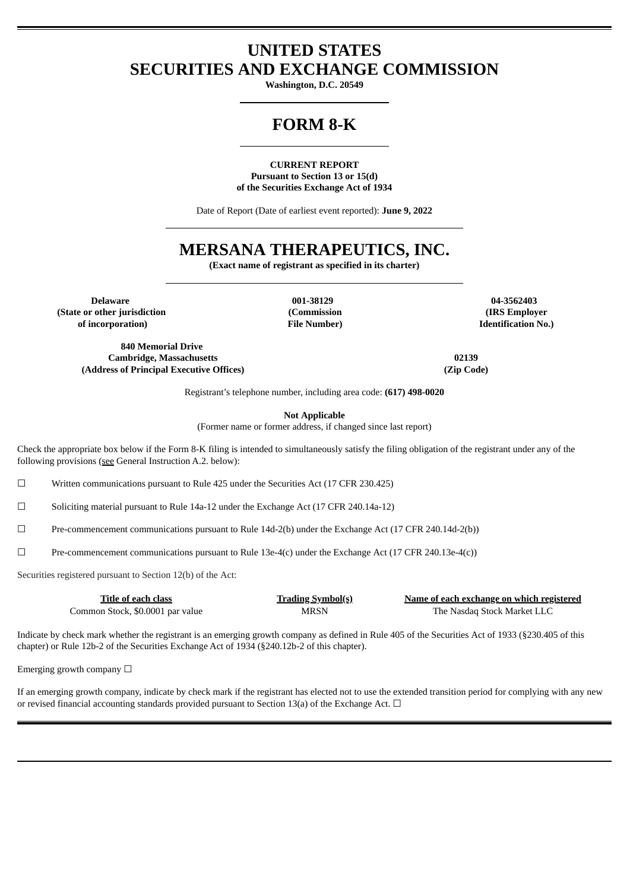# **UNITED STATES SECURITIES AND EXCHANGE COMMISSION**

**Washington, D.C. 20549**

# **FORM 8-K**

**CURRENT REPORT Pursuant to Section 13 or 15(d) of the Securities Exchange Act of 1934**

Date of Report (Date of earliest event reported): **June 9, 2022**

# **MERSANA THERAPEUTICS, INC.**

**(Exact name of registrant as specified in its charter)**

**Delaware 001-38129 04-3562403 (State or other jurisdiction of incorporation)**

**840 Memorial Drive Cambridge, Massachusetts 02139 (Address of Principal Executive Offices) (Zip Code)**

**(Commission File Number)**

**(IRS Employer Identification No.)**

Registrant's telephone number, including area code: **(617) 498-0020**

**Not Applicable**

(Former name or former address, if changed since last report)

Check the appropriate box below if the Form 8-K filing is intended to simultaneously satisfy the filing obligation of the registrant under any of the following provisions (see General Instruction A.2. below):

 $\Box$  Written communications pursuant to Rule 425 under the Securities Act (17 CFR 230.425)

☐ Soliciting material pursuant to Rule 14a-12 under the Exchange Act (17 CFR 240.14a-12)

☐ Pre-commencement communications pursuant to Rule 14d-2(b) under the Exchange Act (17 CFR 240.14d-2(b))

 $\square$  Pre-commencement communications pursuant to Rule 13e-4(c) under the Exchange Act (17 CFR 240.13e-4(c))

Securities registered pursuant to Section 12(b) of the Act:

| Title of each class              | <u>Trading Symbol(s)</u> | Name of each exchange on which registered |
|----------------------------------|--------------------------|-------------------------------------------|
| Common Stock, \$0.0001 par value | <b>MRSN</b>              | The Nasdag Stock Market LLC               |

Indicate by check mark whether the registrant is an emerging growth company as defined in Rule 405 of the Securities Act of 1933 (§230.405 of this chapter) or Rule 12b-2 of the Securities Exchange Act of 1934 (§240.12b-2 of this chapter).

Emerging growth company  $\Box$ 

If an emerging growth company, indicate by check mark if the registrant has elected not to use the extended transition period for complying with any new or revised financial accounting standards provided pursuant to Section 13(a) of the Exchange Act.  $\Box$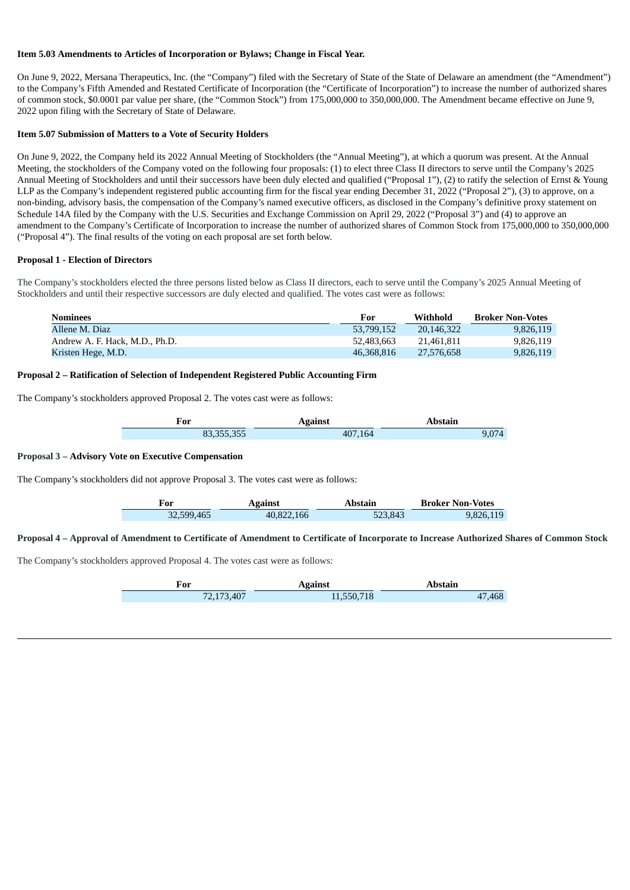## **Item 5.03 Amendments to Articles of Incorporation or Bylaws; Change in Fiscal Year.**

On June 9, 2022, Mersana Therapeutics, Inc. (the "Company") filed with the Secretary of State of the State of Delaware an amendment (the "Amendment") to the Company's Fifth Amended and Restated Certificate of Incorporation (the "Certificate of Incorporation") to increase the number of authorized shares of common stock, \$0.0001 par value per share, (the "Common Stock") from 175,000,000 to 350,000,000. The Amendment became effective on June 9, 2022 upon filing with the Secretary of State of Delaware.

## **Item 5.07 Submission of Matters to a Vote of Security Holders**

On June 9, 2022, the Company held its 2022 Annual Meeting of Stockholders (the "Annual Meeting"), at which a quorum was present. At the Annual Meeting, the stockholders of the Company voted on the following four proposals: (1) to elect three Class II directors to serve until the Company's 2025 Annual Meeting of Stockholders and until their successors have been duly elected and qualified ("Proposal 1"), (2) to ratify the selection of Ernst & Young LLP as the Company's independent registered public accounting firm for the fiscal year ending December 31, 2022 ("Proposal 2"), (3) to approve, on a non-binding, advisory basis, the compensation of the Company's named executive officers, as disclosed in the Company's definitive proxy statement on Schedule 14A filed by the Company with the U.S. Securities and Exchange Commission on April 29, 2022 ("Proposal 3") and (4) to approve an amendment to the Company's Certificate of Incorporation to increase the number of authorized shares of Common Stock from 175,000,000 to 350,000,000 ("Proposal 4"). The final results of the voting on each proposal are set forth below.

## **Proposal 1 - Election of Directors**

The Company's stockholders elected the three persons listed below as Class II directors, each to serve until the Company's 2025 Annual Meeting of Stockholders and until their respective successors are duly elected and qualified. The votes cast were as follows:

| <b>Nominees</b>                | For        | Withhold   | <b>Broker Non-Votes</b> |
|--------------------------------|------------|------------|-------------------------|
| Allene M. Diaz                 | 53,799,152 | 20.146.322 | 9.826.119               |
| Andrew A. F. Hack, M.D., Ph.D. | 52.483.663 | 21.461.811 | 9.826.119               |
| Kristen Hege, M.D.             | 46,368,816 | 27.576.658 | 9,826,119               |

## **Proposal 2 – Ratification of Selection of Independent Registered Public Accounting Firm**

The Company's stockholders approved Proposal 2. The votes cast were as follows:

| For                   | <b>Against</b> | Abstain |
|-----------------------|----------------|---------|
| orr orr<br>83,355,355 |                |         |

## **Proposal 3 – Advisory Vote on Executive Compensation**

The Company's stockholders did not approve Proposal 3. The votes cast were as follows:

| For        | <b>Against</b> | Abstain | <b>Broker Non-Votes</b> |
|------------|----------------|---------|-------------------------|
| 32,599,465 | 40,822,166     | 523.843 | 9,826,119               |

## Proposal 4 - Approval of Amendment to Certificate of Amendment to Certificate of Incorporate to Increase Authorized Shares of Common Stock

The Company's stockholders approved Proposal 4. The votes cast were as follows:

| For        | <b>Against</b> | Abstain |
|------------|----------------|---------|
| 72,173,407 | 11,550,718     | 47,468  |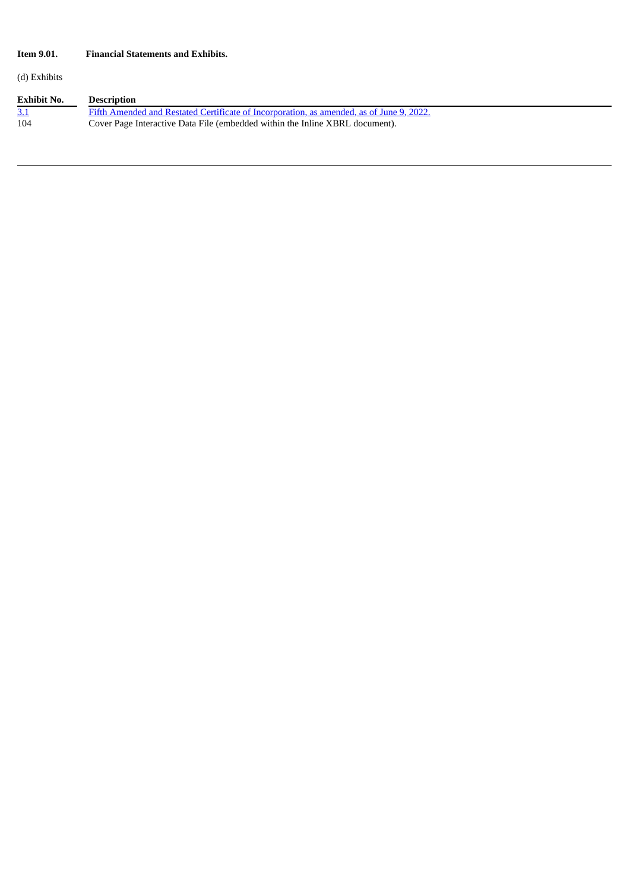## **Item 9.01. Financial Statements and Exhibits.**

(d) Exhibits

| Exhibit No. | <b>Description</b>                                                                       |
|-------------|------------------------------------------------------------------------------------------|
|             | Fifth Amended and Restated Certificate of Incorporation, as amended, as of June 9, 2022. |
| 104         | Cover Page Interactive Data File (embedded within the Inline XBRL document).             |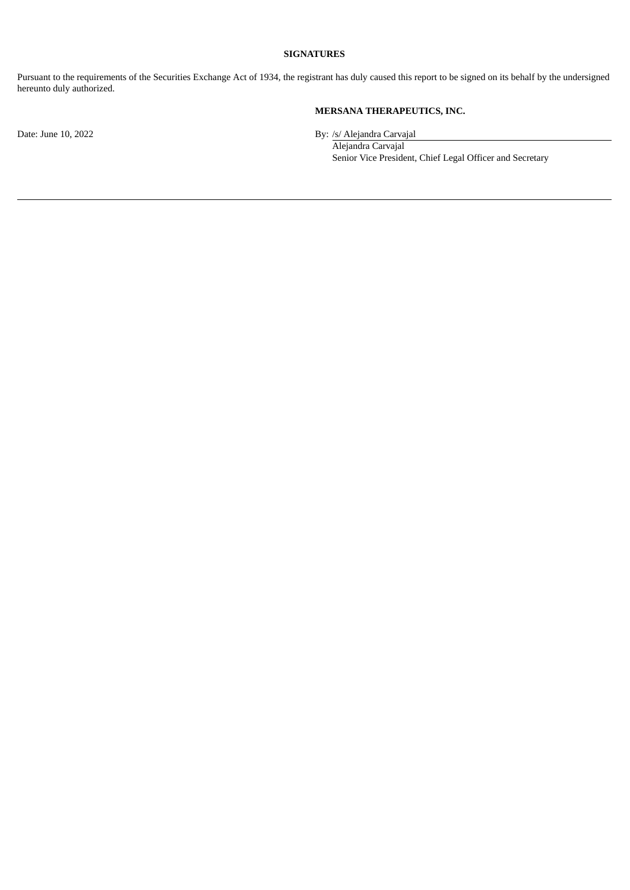## **SIGNATURES**

Pursuant to the requirements of the Securities Exchange Act of 1934, the registrant has duly caused this report to be signed on its behalf by the undersigned hereunto duly authorized.

## **MERSANA THERAPEUTICS, INC.**

Date: June 10, 2022 By: /s/ Alejandra Carvajal

Alejandra Carvajal Senior Vice President, Chief Legal Officer and Secretary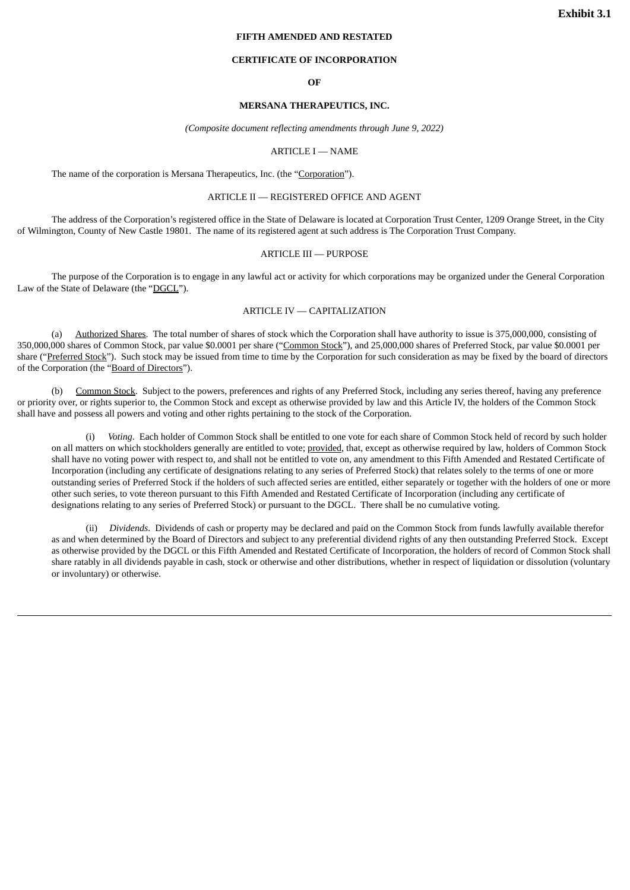## **FIFTH AMENDED AND RESTATED**

### **CERTIFICATE OF INCORPORATION**

#### **OF**

## **MERSANA THERAPEUTICS, INC.**

*(Composite document reflecting amendments through June 9, 2022)*

#### ARTICLE I — NAME

<span id="page-4-0"></span>The name of the corporation is Mersana Therapeutics, Inc. (the "Corporation").

#### ARTICLE II — REGISTERED OFFICE AND AGENT

The address of the Corporation's registered office in the State of Delaware is located at Corporation Trust Center, 1209 Orange Street, in the City of Wilmington, County of New Castle 19801. The name of its registered agent at such address is The Corporation Trust Company.

## ARTICLE III — PURPOSE

The purpose of the Corporation is to engage in any lawful act or activity for which corporations may be organized under the General Corporation Law of the State of Delaware (the "DGCL").

## ARTICLE IV — CAPITALIZATION

(a) Authorized Shares. The total number of shares of stock which the Corporation shall have authority to issue is 375,000,000, consisting of 350,000,000 shares of Common Stock, par value \$0.0001 per share ("Common Stock"), and 25,000,000 shares of Preferred Stock, par value \$0.0001 per share ("Preferred Stock"). Such stock may be issued from time to time by the Corporation for such consideration as may be fixed by the board of directors of the Corporation (the "Board of Directors").

(b) Common Stock. Subject to the powers, preferences and rights of any Preferred Stock, including any series thereof, having any preference or priority over, or rights superior to, the Common Stock and except as otherwise provided by law and this Article IV, the holders of the Common Stock shall have and possess all powers and voting and other rights pertaining to the stock of the Corporation.

(i) *Voting*. Each holder of Common Stock shall be entitled to one vote for each share of Common Stock held of record by such holder on all matters on which stockholders generally are entitled to vote; provided, that, except as otherwise required by law, holders of Common Stock shall have no voting power with respect to, and shall not be entitled to vote on, any amendment to this Fifth Amended and Restated Certificate of Incorporation (including any certificate of designations relating to any series of Preferred Stock) that relates solely to the terms of one or more outstanding series of Preferred Stock if the holders of such affected series are entitled, either separately or together with the holders of one or more other such series, to vote thereon pursuant to this Fifth Amended and Restated Certificate of Incorporation (including any certificate of designations relating to any series of Preferred Stock) or pursuant to the DGCL. There shall be no cumulative voting.

(ii) *Dividends*. Dividends of cash or property may be declared and paid on the Common Stock from funds lawfully available therefor as and when determined by the Board of Directors and subject to any preferential dividend rights of any then outstanding Preferred Stock. Except as otherwise provided by the DGCL or this Fifth Amended and Restated Certificate of Incorporation, the holders of record of Common Stock shall share ratably in all dividends payable in cash, stock or otherwise and other distributions, whether in respect of liquidation or dissolution (voluntary or involuntary) or otherwise.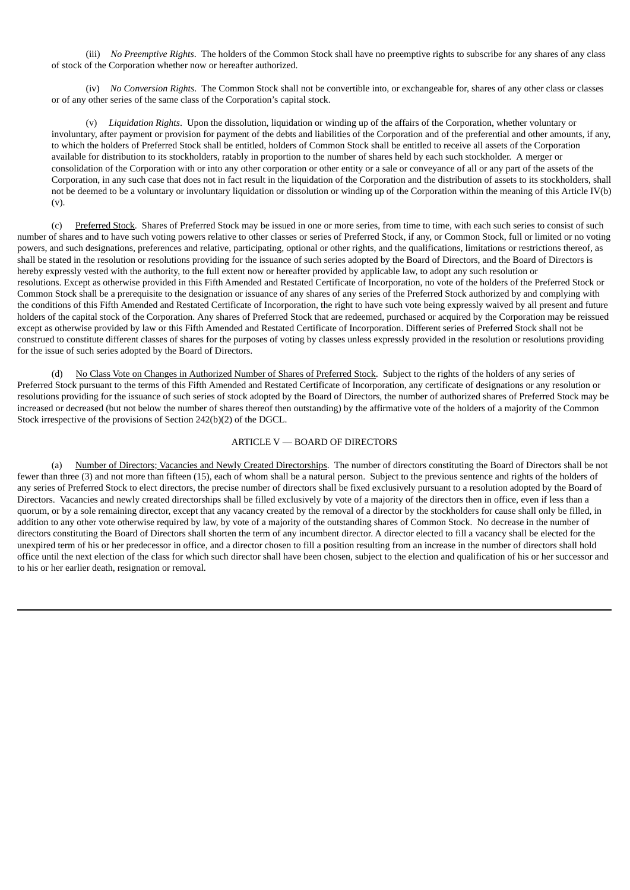(iii) *No Preemptive Rights*. The holders of the Common Stock shall have no preemptive rights to subscribe for any shares of any class of stock of the Corporation whether now or hereafter authorized.

(iv) *No Conversion Rights*. The Common Stock shall not be convertible into, or exchangeable for, shares of any other class or classes or of any other series of the same class of the Corporation's capital stock.

(v) *Liquidation Rights*. Upon the dissolution, liquidation or winding up of the affairs of the Corporation, whether voluntary or involuntary, after payment or provision for payment of the debts and liabilities of the Corporation and of the preferential and other amounts, if any, to which the holders of Preferred Stock shall be entitled, holders of Common Stock shall be entitled to receive all assets of the Corporation available for distribution to its stockholders, ratably in proportion to the number of shares held by each such stockholder. A merger or consolidation of the Corporation with or into any other corporation or other entity or a sale or conveyance of all or any part of the assets of the Corporation, in any such case that does not in fact result in the liquidation of the Corporation and the distribution of assets to its stockholders, shall not be deemed to be a voluntary or involuntary liquidation or dissolution or winding up of the Corporation within the meaning of this Article IV(b) (v).

(c) Preferred Stock. Shares of Preferred Stock may be issued in one or more series, from time to time, with each such series to consist of such number of shares and to have such voting powers relative to other classes or series of Preferred Stock, if any, or Common Stock, full or limited or no voting powers, and such designations, preferences and relative, participating, optional or other rights, and the qualifications, limitations or restrictions thereof, as shall be stated in the resolution or resolutions providing for the issuance of such series adopted by the Board of Directors, and the Board of Directors is hereby expressly vested with the authority, to the full extent now or hereafter provided by applicable law, to adopt any such resolution or resolutions. Except as otherwise provided in this Fifth Amended and Restated Certificate of Incorporation, no vote of the holders of the Preferred Stock or Common Stock shall be a prerequisite to the designation or issuance of any shares of any series of the Preferred Stock authorized by and complying with the conditions of this Fifth Amended and Restated Certificate of Incorporation, the right to have such vote being expressly waived by all present and future holders of the capital stock of the Corporation. Any shares of Preferred Stock that are redeemed, purchased or acquired by the Corporation may be reissued except as otherwise provided by law or this Fifth Amended and Restated Certificate of Incorporation. Different series of Preferred Stock shall not be construed to constitute different classes of shares for the purposes of voting by classes unless expressly provided in the resolution or resolutions providing for the issue of such series adopted by the Board of Directors.

(d) No Class Vote on Changes in Authorized Number of Shares of Preferred Stock. Subject to the rights of the holders of any series of Preferred Stock pursuant to the terms of this Fifth Amended and Restated Certificate of Incorporation, any certificate of designations or any resolution or resolutions providing for the issuance of such series of stock adopted by the Board of Directors, the number of authorized shares of Preferred Stock may be increased or decreased (but not below the number of shares thereof then outstanding) by the affirmative vote of the holders of a majority of the Common Stock irrespective of the provisions of Section 242(b)(2) of the DGCL.

## ARTICLE V — BOARD OF DIRECTORS

(a) Number of Directors; Vacancies and Newly Created Directorships. The number of directors constituting the Board of Directors shall be not fewer than three (3) and not more than fifteen (15), each of whom shall be a natural person. Subject to the previous sentence and rights of the holders of any series of Preferred Stock to elect directors, the precise number of directors shall be fixed exclusively pursuant to a resolution adopted by the Board of Directors. Vacancies and newly created directorships shall be filled exclusively by vote of a majority of the directors then in office, even if less than a quorum, or by a sole remaining director, except that any vacancy created by the removal of a director by the stockholders for cause shall only be filled, in addition to any other vote otherwise required by law, by vote of a majority of the outstanding shares of Common Stock. No decrease in the number of directors constituting the Board of Directors shall shorten the term of any incumbent director. A director elected to fill a vacancy shall be elected for the unexpired term of his or her predecessor in office, and a director chosen to fill a position resulting from an increase in the number of directors shall hold office until the next election of the class for which such director shall have been chosen, subject to the election and qualification of his or her successor and to his or her earlier death, resignation or removal.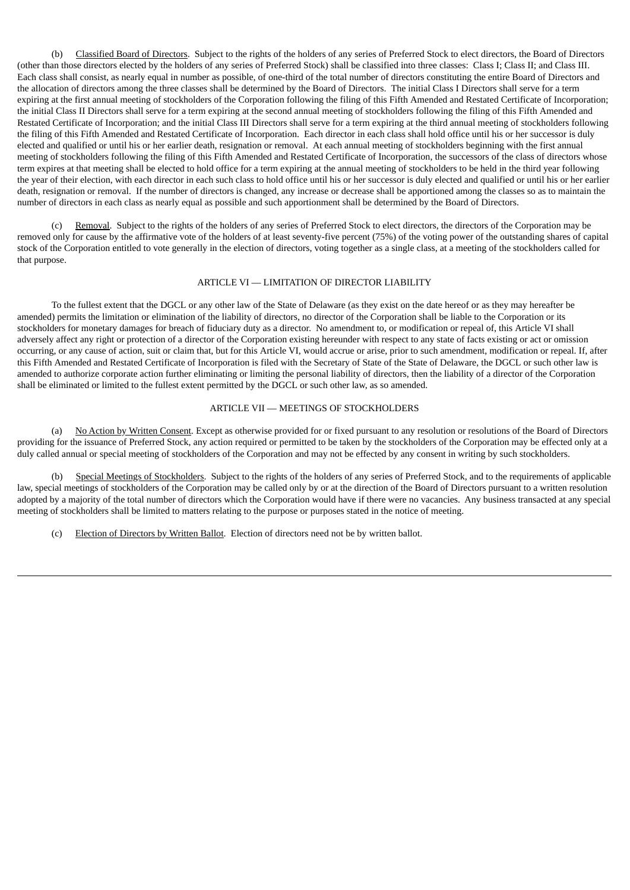(b) Classified Board of Directors. Subject to the rights of the holders of any series of Preferred Stock to elect directors, the Board of Directors (other than those directors elected by the holders of any series of Preferred Stock) shall be classified into three classes: Class I; Class II; and Class III. Each class shall consist, as nearly equal in number as possible, of one-third of the total number of directors constituting the entire Board of Directors and the allocation of directors among the three classes shall be determined by the Board of Directors. The initial Class I Directors shall serve for a term expiring at the first annual meeting of stockholders of the Corporation following the filing of this Fifth Amended and Restated Certificate of Incorporation; the initial Class II Directors shall serve for a term expiring at the second annual meeting of stockholders following the filing of this Fifth Amended and Restated Certificate of Incorporation; and the initial Class III Directors shall serve for a term expiring at the third annual meeting of stockholders following the filing of this Fifth Amended and Restated Certificate of Incorporation. Each director in each class shall hold office until his or her successor is duly elected and qualified or until his or her earlier death, resignation or removal. At each annual meeting of stockholders beginning with the first annual meeting of stockholders following the filing of this Fifth Amended and Restated Certificate of Incorporation, the successors of the class of directors whose term expires at that meeting shall be elected to hold office for a term expiring at the annual meeting of stockholders to be held in the third year following the year of their election, with each director in each such class to hold office until his or her successor is duly elected and qualified or until his or her earlier death, resignation or removal. If the number of directors is changed, any increase or decrease shall be apportioned among the classes so as to maintain the number of directors in each class as nearly equal as possible and such apportionment shall be determined by the Board of Directors.

Removal. Subject to the rights of the holders of any series of Preferred Stock to elect directors, the directors of the Corporation may be removed only for cause by the affirmative vote of the holders of at least seventy-five percent (75%) of the voting power of the outstanding shares of capital stock of the Corporation entitled to vote generally in the election of directors, voting together as a single class, at a meeting of the stockholders called for that purpose.

### ARTICLE VI — LIMITATION OF DIRECTOR LIABILITY

To the fullest extent that the DGCL or any other law of the State of Delaware (as they exist on the date hereof or as they may hereafter be amended) permits the limitation or elimination of the liability of directors, no director of the Corporation shall be liable to the Corporation or its stockholders for monetary damages for breach of fiduciary duty as a director. No amendment to, or modification or repeal of, this Article VI shall adversely affect any right or protection of a director of the Corporation existing hereunder with respect to any state of facts existing or act or omission occurring, or any cause of action, suit or claim that, but for this Article VI, would accrue or arise, prior to such amendment, modification or repeal. If, after this Fifth Amended and Restated Certificate of Incorporation is filed with the Secretary of State of the State of Delaware, the DGCL or such other law is amended to authorize corporate action further eliminating or limiting the personal liability of directors, then the liability of a director of the Corporation shall be eliminated or limited to the fullest extent permitted by the DGCL or such other law, as so amended.

## ARTICLE VII — MEETINGS OF STOCKHOLDERS

(a) No Action by Written Consent. Except as otherwise provided for or fixed pursuant to any resolution or resolutions of the Board of Directors providing for the issuance of Preferred Stock, any action required or permitted to be taken by the stockholders of the Corporation may be effected only at a duly called annual or special meeting of stockholders of the Corporation and may not be effected by any consent in writing by such stockholders.

(b) Special Meetings of Stockholders. Subject to the rights of the holders of any series of Preferred Stock, and to the requirements of applicable law, special meetings of stockholders of the Corporation may be called only by or at the direction of the Board of Directors pursuant to a written resolution adopted by a majority of the total number of directors which the Corporation would have if there were no vacancies. Any business transacted at any special meeting of stockholders shall be limited to matters relating to the purpose or purposes stated in the notice of meeting.

(c) Election of Directors by Written Ballot. Election of directors need not be by written ballot.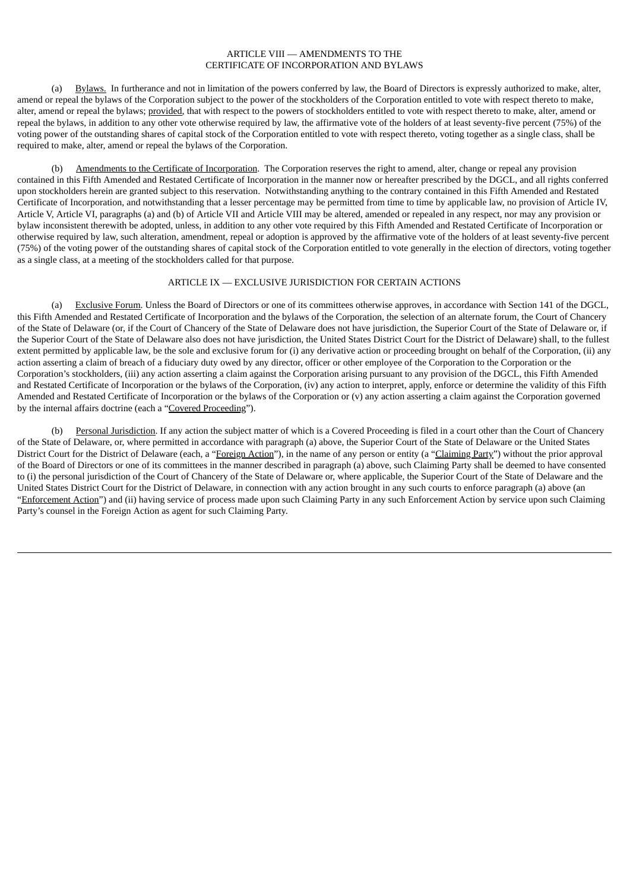## ARTICLE VIII — AMENDMENTS TO THE CERTIFICATE OF INCORPORATION AND BYLAWS

(a) Bylaws. In furtherance and not in limitation of the powers conferred by law, the Board of Directors is expressly authorized to make, alter, amend or repeal the bylaws of the Corporation subject to the power of the stockholders of the Corporation entitled to vote with respect thereto to make, alter, amend or repeal the bylaws; provided, that with respect to the powers of stockholders entitled to vote with respect thereto to make, alter, amend or repeal the bylaws, in addition to any other vote otherwise required by law, the affirmative vote of the holders of at least seventy-five percent (75%) of the voting power of the outstanding shares of capital stock of the Corporation entitled to vote with respect thereto, voting together as a single class, shall be required to make, alter, amend or repeal the bylaws of the Corporation.

(b) Amendments to the Certificate of Incorporation. The Corporation reserves the right to amend, alter, change or repeal any provision contained in this Fifth Amended and Restated Certificate of Incorporation in the manner now or hereafter prescribed by the DGCL, and all rights conferred upon stockholders herein are granted subject to this reservation. Notwithstanding anything to the contrary contained in this Fifth Amended and Restated Certificate of Incorporation, and notwithstanding that a lesser percentage may be permitted from time to time by applicable law, no provision of Article IV, Article V, Article VI, paragraphs (a) and (b) of Article VII and Article VIII may be altered, amended or repealed in any respect, nor may any provision or bylaw inconsistent therewith be adopted, unless, in addition to any other vote required by this Fifth Amended and Restated Certificate of Incorporation or otherwise required by law, such alteration, amendment, repeal or adoption is approved by the affirmative vote of the holders of at least seventy-five percent (75%) of the voting power of the outstanding shares of capital stock of the Corporation entitled to vote generally in the election of directors, voting together as a single class, at a meeting of the stockholders called for that purpose.

## ARTICLE IX — EXCLUSIVE JURISDICTION FOR CERTAIN ACTIONS

Exclusive Forum. Unless the Board of Directors or one of its committees otherwise approves, in accordance with Section 141 of the DGCL, this Fifth Amended and Restated Certificate of Incorporation and the bylaws of the Corporation, the selection of an alternate forum, the Court of Chancery of the State of Delaware (or, if the Court of Chancery of the State of Delaware does not have jurisdiction, the Superior Court of the State of Delaware or, if the Superior Court of the State of Delaware also does not have jurisdiction, the United States District Court for the District of Delaware) shall, to the fullest extent permitted by applicable law, be the sole and exclusive forum for (i) any derivative action or proceeding brought on behalf of the Corporation, (ii) any action asserting a claim of breach of a fiduciary duty owed by any director, officer or other employee of the Corporation to the Corporation or the Corporation's stockholders, (iii) any action asserting a claim against the Corporation arising pursuant to any provision of the DGCL, this Fifth Amended and Restated Certificate of Incorporation or the bylaws of the Corporation, (iv) any action to interpret, apply, enforce or determine the validity of this Fifth Amended and Restated Certificate of Incorporation or the bylaws of the Corporation or (v) any action asserting a claim against the Corporation governed by the internal affairs doctrine (each a "Covered Proceeding").

(b) Personal Jurisdiction. If any action the subject matter of which is a Covered Proceeding is filed in a court other than the Court of Chancery of the State of Delaware, or, where permitted in accordance with paragraph (a) above, the Superior Court of the State of Delaware or the United States District Court for the District of Delaware (each, a "Foreign Action"), in the name of any person or entity (a "Claiming Party") without the prior approval of the Board of Directors or one of its committees in the manner described in paragraph (a) above, such Claiming Party shall be deemed to have consented to (i) the personal jurisdiction of the Court of Chancery of the State of Delaware or, where applicable, the Superior Court of the State of Delaware and the United States District Court for the District of Delaware, in connection with any action brought in any such courts to enforce paragraph (a) above (an "Enforcement Action") and (ii) having service of process made upon such Claiming Party in any such Enforcement Action by service upon such Claiming Party's counsel in the Foreign Action as agent for such Claiming Party.